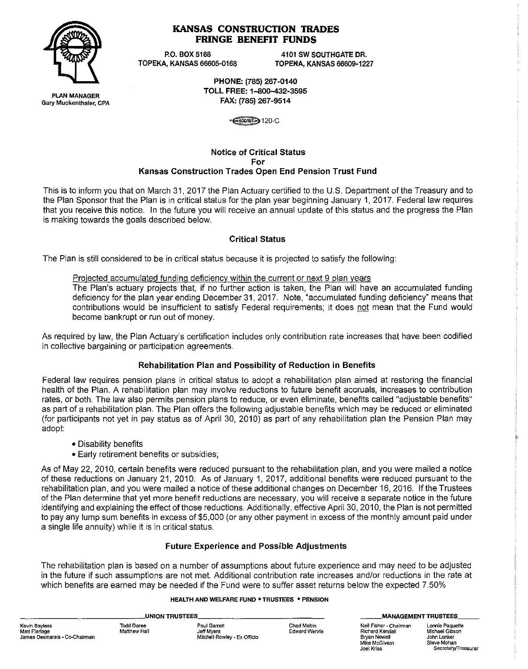

# **KANSAS CONSTRUCTION TRADES FRINGE BENEFIT FUNDS**

P.O. BOX 5168 4101 SW SOUTHGATE DR.<br>22:TOPEKA, KANSAS 66605-0168 7OPEKA, KANSAS 66609-12 TOPEKA, KANSAS 66609-1227

> PHONE: (785) 267-0140 TOLL FREE: 1-800-432-3595 FAX: (785) 267-9514

> > ·~120-C

#### Notice of Critical Status For Kansas Construction Trades Open End Pension Trust Fund

This is to inform you that on March 31, 2017 the Plan Actuary certified to the U.S. Department of the Treasury and to the Plan Sponsor that the Plan is in critical status for the plan year beginning January 1, 2017. Federal law requires that you receive this notice. In the future you will receive an annual update of this status and the progress the Plan is making towards the goals described below.

# Critical Status

The Plan is still considered to be in critical status because it is projected to satisfy the following:

#### Projected accumulated funding deficiency within the current or next 9 plan years

The Plan's actuary projects that, if no further action is taken, the Plan will have an accumulated funding deficiency for the plan year ending December 31, 2017. Note, "accumulated funding deficiency" means that contributions would be insufficient to satisfy Federal requirements; it does not mean that the Fund would become bankrupt or run out of money.

As required by law, the Plan Actuary's certification includes only contribution rate increases that have been codified in collective bargaining or participation agreements.

# Rehabilitation Plan and Possibility of Reduction in Benefits

Federal law requires pension plans in critical status to adopt a rehabilitation plan aimed at restoring the financial health of the Plan. A rehabilitation plan may involve reductions to future benefit accruals, increases to contribution rates, or both. The law also permits pension plans to reduce, or even eliminate, benefits called "adjustable benefits" as part of a rehabilitation plan. The Plan offers the following adjustable benefits which may be reduced or eliminated (for participants not yet in pay status as of April 30, 2010) as part of any rehabilitation plan the Pension Plan may adopt:

- Disability benefits
- Early retirement benefits or subsidies;

As of May 22, 2010, certain benefits were reduced pursuant to the rehabilitation plan, and you were mailed a notice of these reductions on January 21, 2010. As of January 1, 2017, additional benefits were reduced pursuant to the rehabilitation plan, and you were mailed a notice of these additional changes on December 16, 2016. If the Trustees of the Plan determine that yet more benefit reductions are necessary, you will receive a separate notice in the future identifying and explaining the effect of those reductions. Additionally, effective April 30, 2010, the Plan is not permitted to pay any lump sum benefits in excess of \$5,000 (or any other payment in excess of the monthly amount paid under a single life annuity) while it is in critical status.

# Future Experience and Possible Adjustments

The rehabilitation plan is based on a number of assumptions about future experience and may need to be adjusted in the future if such assumptions are not met. Additional contribution rate increases and/or reductions in the rate at which benefits are earned may be needed if the Fund were to suffer asset returns below the expected 7.50%

#### **HEALTH AND WELFARE FUND . TRUSTEES . PENSION**

| UNION TRUSTEES                                                  |                                   |                                                            |                             | MANAGEMENT TR                                                                            |                           |
|-----------------------------------------------------------------|-----------------------------------|------------------------------------------------------------|-----------------------------|------------------------------------------------------------------------------------------|---------------------------|
| Kevin Bayless<br>Matt Flerlage<br>James Desmarais - Co-Chairman | <b>Todd Doree</b><br>Matthew Hall | Paul Garrett<br>Jeff Mvers<br>Mitchell Rowley - Ex Officio | Chad Mabin<br>Edward Wehrle | Neil Fisher - Chairman<br>Richard Kendall<br>Brvan Newell<br>Mike McGivern<br>Joel Kriss | Lon<br>Mic.<br>Joh<br>Ste |

**\_\_ MANAGEMENT TRUSTEES \_\_** 

nie Paquette Michael Gibson n Lonker ve Mohan Secretary/Treasurer

**PLAN MANAGER Gary Muckenthaler, CPA**